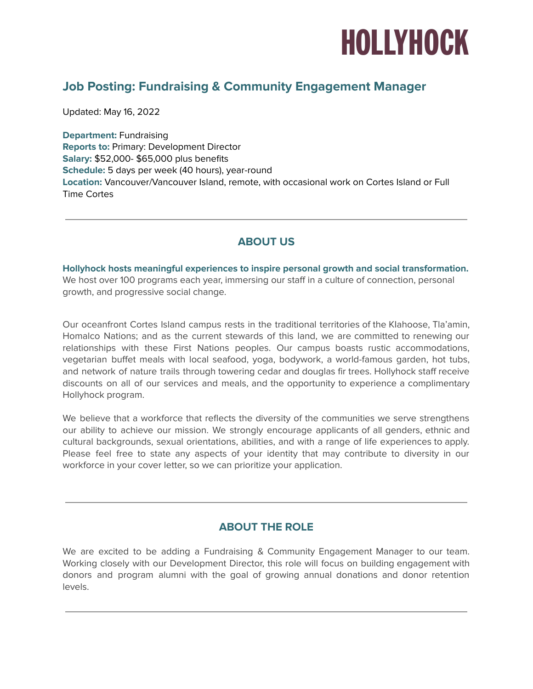

# **Job Posting: Fundraising & Community Engagement Manager**

Updated: May 16, 2022

**Department:** Fundraising **Reports to:** Primary: Development Director **Salary:** \$52,000- \$65,000 plus benefits **Schedule:** 5 days per week (40 hours), year-round **Location:** Vancouver/Vancouver Island, remote, with occasional work on Cortes Island or Full Time Cortes

### **ABOUT US**

**Hollyhock hosts meaningful experiences to inspire personal growth and social transformation.** We host over 100 programs each year, immersing our staff in a culture of connection, personal growth, and progressive social change.

Our oceanfront Cortes Island campus rests in the traditional territories of the KIahoose, Tla'amin, Homalco Nations; and as the current stewards of this land, we are committed to renewing our relationships with these First Nations peoples. Our campus boasts rustic accommodations, vegetarian buffet meals with local seafood, yoga, bodywork, a world-famous garden, hot tubs, and network of nature trails through towering cedar and douglas fir trees. Hollyhock staff receive discounts on all of our services and meals, and the opportunity to experience a complimentary Hollyhock program.

We believe that a workforce that reflects the diversity of the communities we serve strengthens our ability to achieve our mission. We strongly encourage applicants of all genders, ethnic and cultural backgrounds, sexual orientations, abilities, and with a range of life experiences to apply. Please feel free to state any aspects of your identity that may contribute to diversity in our workforce in your cover letter, so we can prioritize your application.

### **ABOUT THE ROLE**

We are excited to be adding a Fundraising & Community Engagement Manager to our team. Working closely with our Development Director, this role will focus on building engagement with donors and program alumni with the goal of growing annual donations and donor retention levels.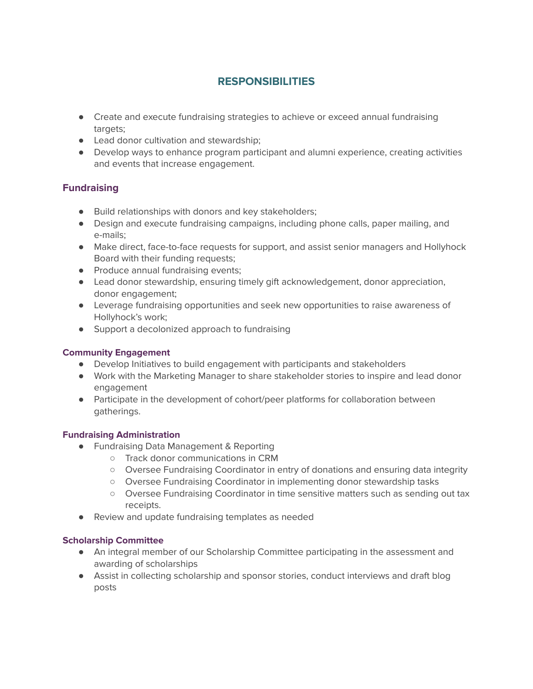## **RESPONSIBILITIES**

- Create and execute fundraising strategies to achieve or exceed annual fundraising targets;
- Lead donor cultivation and stewardship:
- Develop ways to enhance program participant and alumni experience, creating activities and events that increase engagement.

### **Fundraising**

- Build relationships with donors and key stakeholders;
- Design and execute fundraising campaigns, including phone calls, paper mailing, and e-mails;
- Make direct, face-to-face requests for support, and assist senior managers and Hollyhock Board with their funding requests;
- Produce annual fundraising events;
- Lead donor stewardship, ensuring timely gift acknowledgement, donor appreciation, donor engagement;
- Leverage fundraising opportunities and seek new opportunities to raise awareness of Hollyhock's work;
- Support a decolonized approach to fundraising

#### **Community Engagement**

- **●** Develop Initiatives to build engagement with participants and stakeholders
- **●** Work with the Marketing Manager to share stakeholder stories to inspire and lead donor engagement
- **●** Participate in the development of cohort/peer platforms for collaboration between gatherings.

#### **Fundraising Administration**

- Fundraising Data Management & Reporting
	- Track donor communications in CRM
	- Oversee Fundraising Coordinator in entry of donations and ensuring data integrity
	- Oversee Fundraising Coordinator in implementing donor stewardship tasks
	- Oversee Fundraising Coordinator in time sensitive matters such as sending out tax receipts.
- Review and update fundraising templates as needed

#### **Scholarship Committee**

- An integral member of our Scholarship Committee participating in the assessment and awarding of scholarships
- Assist in collecting scholarship and sponsor stories, conduct interviews and draft blog posts